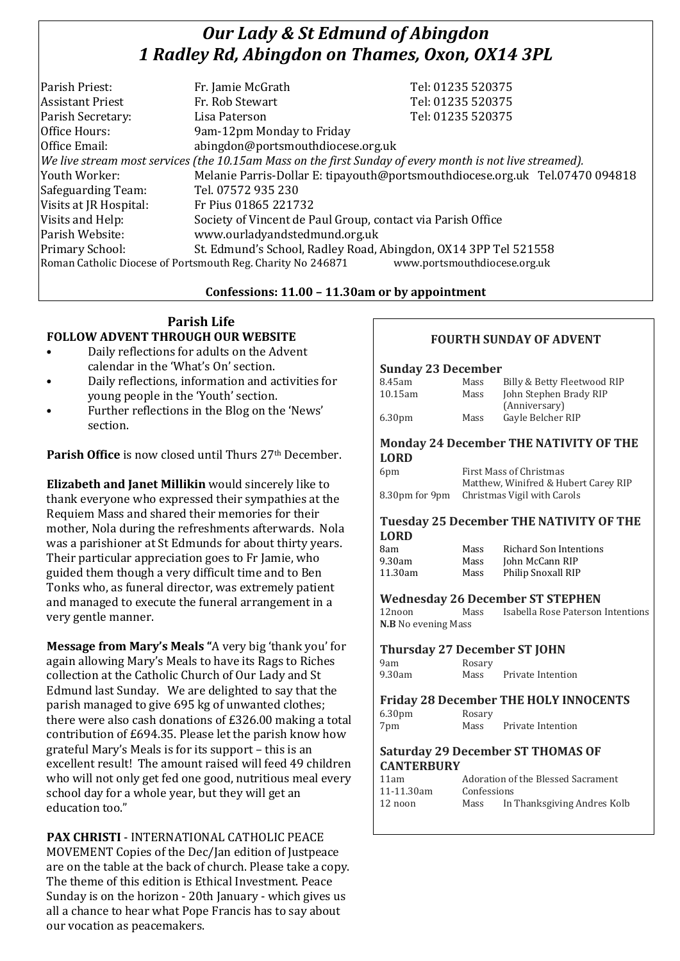# *Our Lady & St Edmund of Abingdon 1 Radley Rd, Abingdon on Thames, Oxon, OX14 3PL*

| Parish Priest:          | Fr. Jamie McGrath                                                                                        | Tel: 01235 520375                                                            |
|-------------------------|----------------------------------------------------------------------------------------------------------|------------------------------------------------------------------------------|
| <b>Assistant Priest</b> | Fr. Rob Stewart                                                                                          | Tel: 01235 520375                                                            |
| Parish Secretary:       | Lisa Paterson                                                                                            | Tel: 01235 520375                                                            |
| Office Hours:           | 9am-12pm Monday to Friday                                                                                |                                                                              |
| Office Email:           | abingdon@portsmouthdiocese.org.uk                                                                        |                                                                              |
|                         | We live stream most services (the 10.15am Mass on the first Sunday of every month is not live streamed). |                                                                              |
| Youth Worker:           |                                                                                                          | Melanie Parris-Dollar E: tipayouth@portsmouthdiocese.org.uk Tel.07470 094818 |
| Safeguarding Team:      | Tel. 07572 935 230                                                                                       |                                                                              |
| Visits at JR Hospital:  | Fr Pius 01865 221732                                                                                     |                                                                              |
| Visits and Help:        | Society of Vincent de Paul Group, contact via Parish Office                                              |                                                                              |
| Parish Website:         | www.ourladyandstedmund.org.uk                                                                            |                                                                              |
| Primary School:         | St. Edmund's School, Radley Road, Abingdon, OX14 3PP Tel 521558                                          |                                                                              |
|                         | Roman Catholic Diocese of Portsmouth Reg. Charity No 246871                                              | www.portsmouthdiocese.org.uk                                                 |

### **Confessions: 11.00 – 11.30am or by appointment**

## **Parish Life FOLLOW ADVENT THROUGH OUR WEBSITE**

- Daily reflections for adults on the Advent calendar in the 'What's On' section.
- Daily reflections, information and activities for young people in the 'Youth' section.
- Further reflections in the Blog on the 'News' section.

**Parish Office** is now closed until Thurs 27<sup>th</sup> December.

**Elizabeth and Janet Millikin** would sincerely like to thank everyone who expressed their sympathies at the Requiem Mass and shared their memories for their mother, Nola during the refreshments afterwards. Nola was a parishioner at St Edmunds for about thirty years. Their particular appreciation goes to Fr Jamie, who guided them though a very difficult time and to Ben Tonks who, as funeral director, was extremely patient and managed to execute the funeral arrangement in a very gentle manner.

**Message from Mary's Meals "**A very big 'thank you' for again allowing Mary's Meals to have its Rags to Riches collection at the Catholic Church of Our Lady and St Edmund last Sunday. We are delighted to say that the parish managed to give 695 kg of unwanted clothes; there were also cash donations of £326.00 making a total contribution of £694.35. Please let the parish know how grateful Mary's Meals is for its support – this is an excellent result! The amount raised will feed 49 children who will not only get fed one good, nutritious meal every school day for a whole year, but they will get an education too."

**PAX CHRISTI** - INTERNATIONAL CATHOLIC PEACE MOVEMENT Copies of the Dec/Jan edition of Justpeace are on the table at the back of church. Please take a copy. The theme of this edition is Ethical Investment. Peace Sunday is on the horizon - 20th January - which gives us all a chance to hear what Pope Francis has to say about our vocation as peacemakers.

## **FOURTH SUNDAY OF ADVENT**

#### **Sunday 23 December**

| 8.45am                              | Mass                           | Billy & Betty Fleetwood RIP                    |
|-------------------------------------|--------------------------------|------------------------------------------------|
| $10.15$ am                          | Mass                           | John Stephen Brady RIP                         |
|                                     |                                | (Anniversary)                                  |
| 6.30pm                              | Mass                           | Gayle Belcher RIP                              |
|                                     |                                |                                                |
|                                     |                                | <b>Monday 24 December THE NATIVITY OF THE</b>  |
| <b>LORD</b>                         |                                |                                                |
| 6pm                                 | <b>First Mass of Christmas</b> |                                                |
|                                     |                                | Matthew, Winifred & Hubert Carey RIP           |
| 8.30pm for 9pm                      | Christmas Vigil with Carols    |                                                |
|                                     |                                |                                                |
|                                     |                                | <b>Tuesday 25 December THE NATIVITY OF THE</b> |
| <b>LORD</b>                         |                                |                                                |
| 8am                                 | Mass                           | <b>Richard Son Intentions</b>                  |
| 9.30am                              | Mass                           | John McCann RIP                                |
| 11.30am                             | Mass                           | Philip Snoxall RIP                             |
|                                     |                                |                                                |
|                                     |                                |                                                |
|                                     |                                | <b>Wednesday 26 December ST STEPHEN</b>        |
| 12noon                              | Mass                           | Isabella Rose Paterson Intentions              |
| <b>N.B</b> No evening Mass          |                                |                                                |
| <b>Thursday 27 December ST JOHN</b> |                                |                                                |
| 9am                                 | Rosary                         |                                                |
| 9.30am                              |                                | Mass Private Intention                         |
|                                     |                                |                                                |
|                                     |                                | <b>Friday 28 December THE HOLY INNOCENTS</b>   |
| 6.30pm                              | Rosary                         |                                                |
| 7pm                                 | Mass                           | Private Intention                              |
|                                     |                                |                                                |
|                                     |                                | <b>Saturday 29 December ST THOMAS OF</b>       |
| <b>CANTERBURY</b>                   |                                |                                                |
| 11am                                |                                | Adoration of the Blessed Sacrament             |
| 11-11.30am<br>12 noon               | Confessions<br>Mass            | In Thanksgiving Andres Kolb                    |